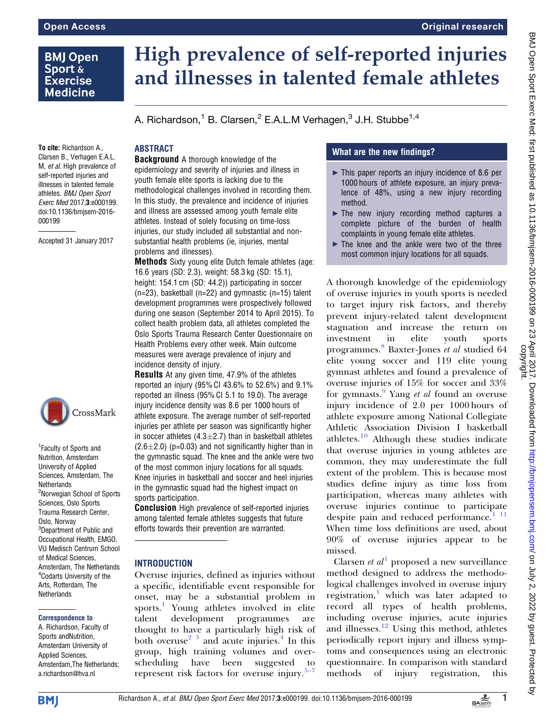# **BMJ Open** Sport & **Exercise Medicine**

# High prevalence of self-reported injuries and illnesses in talented female athletes

A. Richardson,<sup>1</sup> B. Clarsen,<sup>2</sup> E.A.L.M Verhagen,<sup>3</sup> J.H. Stubbe<sup>1,4</sup>

# **ABSTRACT**

To cite: Richardson A., Clarsen B., Verhagen E.A.L. M, et al. High prevalence of self-reported injuries and illnesses in talented female athletes. BMJ Open Sport Exerc Med 2017;3:e000199. doi:10.1136/bmjsem-2016- 000199

Accepted 31 January 2017



1 Faculty of Sports and Nutrition, Amsterdam University of Applied Sciences, Amsterdam, The **Netherlands** <sup>2</sup>Norwegian School of Sports Sciences, Oslo Sports Trauma Research Center, Oslo, Norway <sup>3</sup>Department of Public and Occupational Health, EMGO, VU Medisch Centrum School of Medical Sciences, Amsterdam, The Netherlands 4 Codarts University of the Arts, Rotterdam, The **Netherlands** 

#### Correspondence to

A. Richardson, Faculty of Sports andNutrition, Amsterdam University of Applied Sciences, Amsterdam,The Netherlands; a.richardson@hva.nl

Background A thorough knowledge of the epidemiology and severity of injuries and illness in youth female elite sports is lacking due to the methodological challenges involved in recording them. In this study, the prevalence and incidence of injuries and illness are assessed among youth female elite athletes. Instead of solely focusing on time-loss injuries, our study included all substantial and nonsubstantial health problems (ie, injuries, mental problems and illnesses).

Methods Sixty young elite Dutch female athletes (age: 16.6 years (SD: 2.3), weight: 58.3 kg (SD: 15.1), height: 154.1 cm (SD: 44.2)) participating in soccer  $(n=23)$ , basketball  $(n=22)$  and gymnastic  $(n=15)$  talent development programmes were prospectively followed during one season (September 2014 to April 2015). To collect health problem data, all athletes completed the Oslo Sports Trauma Research Center Questionnaire on Health Problems every other week. Main outcome measures were average prevalence of injury and incidence density of injury.

Results At any given time, 47.9% of the athletes reported an injury (95% CI 43.6% to 52.6%) and 9.1% reported an illness (95% CI 5.1 to 19.0). The average injury incidence density was 8.6 per 1000 hours of athlete exposure. The average number of self-reported injuries per athlete per season was significantly higher in soccer athletes  $(4.3 \pm 2.7)$  than in basketball athletes  $(2.6\pm2.0)$  (p=0.03) and not significantly higher than in the gymnastic squad. The knee and the ankle were two of the most common injury locations for all squads. Knee injuries in basketball and soccer and heel injuries in the gymnastic squad had the highest impact on sports participation.

Conclusion High prevalence of self-reported injuries among talented female athletes suggests that future efforts towards their prevention are warranted.

## INTRODUCTION

Overuse injuries, defined as injuries without a specific, identifiable event responsible for onset, may be a substantial problem in sports.<sup>[1](#page-6-0)</sup> Young athletes involved in elite talent development programmes are thought to have a particularly high risk of both overuse<sup>2</sup>  $\frac{3}{3}$  and acute injuries.<sup>[4](#page-6-0)</sup> In this group, high training volumes and overscheduling have been suggested to represent risk factors for overuse injury. $5-7$ 

# What are the new findings?

- $\blacktriangleright$  This paper reports an injury incidence of 8.6 per 1000 hours of athlete exposure, an injury prevalence of 48%, using a new injury recording method.
- $\blacktriangleright$  The new injury recording method captures a complete picture of the burden of health complaints in young female elite athletes.
- $\blacktriangleright$  The knee and the ankle were two of the three most common injury locations for all squads.

A thorough knowledge of the epidemiology of overuse injuries in youth sports is needed to target injury risk factors, and thereby prevent injury-related talent development stagnation and increase the return on investment in elite youth sports programmes.<sup>[8](#page-6-0)</sup> Baxter-Jones et al studied 64 elite young soccer and 119 elite young gymnast athletes and found a prevalence of overuse injuries of 15% for soccer and 33% for gymnasts. $9$  Yang *et al* found an overuse injury incidence of 2.0 per 1000 hours of athlete exposure among National Collegiate Athletic Association Division I basketball athletes.[10](#page-6-0) Although these studies indicate that overuse injuries in young athletes are common, they may underestimate the full extent of the problem. This is because most studies define injury as time loss from participation, whereas many athletes with overuse injuries continue to participate despite pain and reduced performance.<sup>[1 11](#page-6-0)</sup> When time loss definitions are used, about 90% of overuse injuries appear to be missed.

Clarsen et  $al^1$  $al^1$  proposed a new surveillance method designed to address the methodological challenges involved in overuse injury registration, $\frac{1}{x}$  $\frac{1}{x}$  $\frac{1}{x}$  which was later adapted to record all types of health problems, including overuse injuries, acute injuries and illnesses. $12$  Using this method, athletes periodically report injury and illness symptoms and consequences using an electronic questionnaire. In comparison with standard methods of injury registration, this

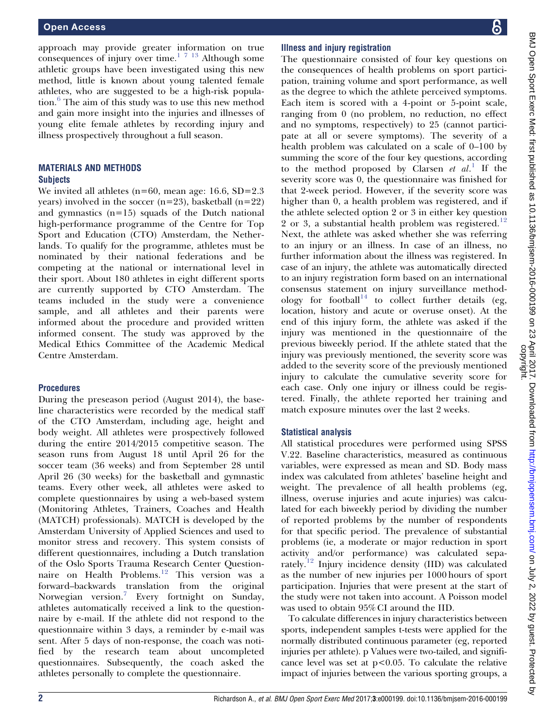approach may provide greater information on true consequences of injury over time.<sup>[1 7 13](#page-7-0)</sup> Although some athletic groups have been investigated using this new method, little is known about young talented female athletes, who are suggested to be a high-risk population.[6](#page-6-0) The aim of this study was to use this new method and gain more insight into the injuries and illnesses of young elite female athletes by recording injury and illness prospectively throughout a full season.

## MATERIALS AND METHODS **Subjects**

We invited all athletes ( $n=60$ , mean age: 16.6, SD=2.3 years) involved in the soccer  $(n=23)$ , basketball  $(n=22)$ and gymnastics  $(n=15)$  squads of the Dutch national high-performance programme of the Centre for Top Sport and Education (CTO) Amsterdam, the Netherlands. To qualify for the programme, athletes must be nominated by their national federations and be competing at the national or international level in their sport. About 180 athletes in eight different sports are currently supported by CTO Amsterdam. The teams included in the study were a convenience sample, and all athletes and their parents were informed about the procedure and provided written informed consent. The study was approved by the Medical Ethics Committee of the Academic Medical Centre Amsterdam.

## **Procedures**

During the preseason period (August 2014), the baseline characteristics were recorded by the medical staff of the CTO Amsterdam, including age, height and body weight. All athletes were prospectively followed during the entire 2014/2015 competitive season. The season runs from August 18 until April 26 for the soccer team (36 weeks) and from September 28 until April 26 (30 weeks) for the basketball and gymnastic teams. Every other week, all athletes were asked to complete questionnaires by using a web-based system (Monitoring Athletes, Trainers, Coaches and Health (MATCH) professionals). MATCH is developed by the Amsterdam University of Applied Sciences and used to monitor stress and recovery. This system consists of different questionnaires, including a Dutch translation of the Oslo Sports Trauma Research Center Question-naire on Health Problems.<sup>[12](#page-7-0)</sup> This version was a forward–backwards translation from the original Norwegian version.[7](#page-6-0) Every fortnight on Sunday, athletes automatically received a link to the questionnaire by e-mail. If the athlete did not respond to the questionnaire within 3 days, a reminder by e-mail was sent. After 5 days of non-response, the coach was notified by the research team about uncompleted questionnaires. Subsequently, the coach asked the athletes personally to complete the questionnaire.

## Illness and injury registration

The questionnaire consisted of four key questions on the consequences of health problems on sport participation, training volume and sport performance, as well as the degree to which the athlete perceived symptoms. Each item is scored with a 4-point or 5-point scale, ranging from 0 (no problem, no reduction, no effect and no symptoms, respectively) to 25 (cannot participate at all or severe symptoms). The severity of a health problem was calculated on a scale of 0–100 by summing the score of the four key questions, according to the method proposed by Clarsen et  $al.$ <sup>[1](#page-6-0)</sup> If the severity score was 0, the questionnaire was finished for that 2-week period. However, if the severity score was higher than 0, a health problem was registered, and if the athlete selected option 2 or 3 in either key question 2 or 3, a substantial health problem was registered.<sup>[12](#page-7-0)</sup> Next, the athlete was asked whether she was referring to an injury or an illness. In case of an illness, no further information about the illness was registered. In case of an injury, the athlete was automatically directed to an injury registration form based on an international consensus statement on injury surveillance method-ology for football<sup>[14](#page-7-0)</sup> to collect further details (eg, location, history and acute or overuse onset). At the end of this injury form, the athlete was asked if the injury was mentioned in the questionnaire of the previous biweekly period. If the athlete stated that the injury was previously mentioned, the severity score was added to the severity score of the previously mentioned injury to calculate the cumulative severity score for each case. Only one injury or illness could be registered. Finally, the athlete reported her training and match exposure minutes over the last 2 weeks.

## Statistical analysis

All statistical procedures were performed using SPSS V.22. Baseline characteristics, measured as continuous variables, were expressed as mean and SD. Body mass index was calculated from athletes' baseline height and weight. The prevalence of all health problems (eg, illness, overuse injuries and acute injuries) was calculated for each biweekly period by dividing the number of reported problems by the number of respondents for that specific period. The prevalence of substantial problems (ie, a moderate or major reduction in sport activity and/or performance) was calculated separately.[12](#page-7-0) Injury incidence density (IID) was calculated as the number of new injuries per 1000 hours of sport participation. Injuries that were present at the start of the study were not taken into account. A Poisson model was used to obtain 95% CI around the IID.

To calculate differences in injury characteristics between sports, independent samples t-tests were applied for the normally distributed continuous parameter (eg, reported injuries per athlete). p Values were two-tailed, and significance level was set at  $p<0.05$ . To calculate the relative impact of injuries between the various sporting groups, a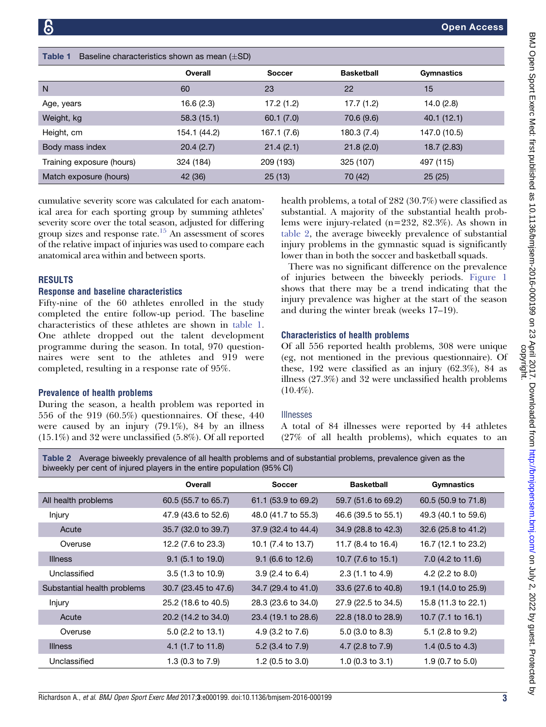aboxecteristics

| .<br>$1.10$ and $1.10$ and $1.01$ and $1.01$ and $1.00$ and $1.00$ and $1.00$ and $1.00$ and $1.00$ and $1.00$ and $1.00$ and $1.00$ and $1.00$ and $1.00$ and $1.00$ and $1.00$ and $1.00$ and $1.00$ and $1.00$ and $1.00$ and |              |               |                   |              |  |
|----------------------------------------------------------------------------------------------------------------------------------------------------------------------------------------------------------------------------------|--------------|---------------|-------------------|--------------|--|
|                                                                                                                                                                                                                                  | Overall      | <b>Soccer</b> | <b>Basketball</b> | Gymnastics   |  |
| N                                                                                                                                                                                                                                | 60           | 23            | 22                | 15           |  |
| Age, years                                                                                                                                                                                                                       | 16.6 (2.3)   | 17.2(1.2)     | 17.7(1.2)         | 14.0(2.8)    |  |
| Weight, kg                                                                                                                                                                                                                       | 58.3(15.1)   | 60.1(7.0)     | 70.6 (9.6)        | 40.1(12.1)   |  |
| Height, cm                                                                                                                                                                                                                       | 154.1 (44.2) | 167.1 (7.6)   | 180.3 (7.4)       | 147.0 (10.5) |  |
| Body mass index                                                                                                                                                                                                                  | 20.4(2.7)    | 21.4(2.1)     | 21.8(2.0)         | 18.7(2.83)   |  |
| Training exposure (hours)                                                                                                                                                                                                        | 324 (184)    | 209 (193)     | 325 (107)         | 497 (115)    |  |
| Match exposure (hours)                                                                                                                                                                                                           | 42 (36)      | 25(13)        | 70 (42)           | 25(25)       |  |

cumulative severity score was calculated for each anatomical area for each sporting group by summing athletes' severity score over the total season, adjusted for differing group sizes and response rate. $15$  An assessment of scores of the relative impact of injuries was used to compare each anatomical area within and between sports.

## RESULTS

## Response and baseline characteristics

Fifty-nine of the 60 athletes enrolled in the study completed the entire follow-up period. The baseline characteristics of these athletes are shown in table 1. One athlete dropped out the talent development programme during the season. In total, 970 questionnaires were sent to the athletes and 919 were completed, resulting in a response rate of 95%.

### Prevalence of health problems

During the season, a health problem was reported in 556 of the 919 (60.5%) questionnaires. Of these, 440 were caused by an injury (79.1%), 84 by an illness (15.1%) and 32 were unclassified (5.8%). Of all reported health problems, a total of 282 (30.7%) were classified as substantial. A majority of the substantial health problems were injury-related (n=232, 82.3%). As shown in table 2, the average biweekly prevalence of substantial injury problems in the gymnastic squad is significantly lower than in both the soccer and basketball squads.

There was no significant difference on the prevalence of injuries between the biweekly periods. [Figure 1](#page-3-0) shows that there may be a trend indicating that the injury prevalence was higher at the start of the season and during the winter break (weeks 17–19).

## Characteristics of health problems

Of all 556 reported health problems, 308 were unique (eg, not mentioned in the previous questionnaire). Of these, 192 were classified as an injury (62.3%), 84 as illness (27.3%) and 32 were unclassified health problems  $(10.4\%).$ 

#### Illnesses

A total of 84 illnesses were reported by 44 athletes (27% of all health problems), which equates to an

Table 2 Average biweekly prevalence of all health problems and of substantial problems, prevalence given as the biweekly per cent of injured players in the entire population (95% CI)

|                             | Overall                     | <b>Soccer</b>              | <b>Basketball</b>           | Gymnastics                    |
|-----------------------------|-----------------------------|----------------------------|-----------------------------|-------------------------------|
| All health problems         | 60.5 (55.7 to 65.7)         | 61.1 (53.9 to 69.2)        | 59.7 (51.6 to 69.2)         | 60.5 (50.9 to 71.8)           |
| Injury                      | 47.9 (43.6 to 52.6)         | 48.0 (41.7 to 55.3)        | 46.6 (39.5 to 55.1)         | 49.3 (40.1 to 59.6)           |
| Acute                       | 35.7 (32.0 to 39.7)         | 37.9 (32.4 to 44.4)        | 34.9 (28.8 to 42.3)         | 32.6 (25.8 to 41.2)           |
| Overuse                     | 12.2 (7.6 to 23.3)          | 10.1 (7.4 to 13.7)         | 11.7 (8.4 to 16.4)          | 16.7 (12.1 to 23.2)           |
| <b>Illness</b>              | $9.1$ (5.1 to 19.0)         | $9.1$ (6.6 to 12.6)        | 10.7 (7.6 to 15.1)          | 7.0 (4.2 to 11.6)             |
| Unclassified                | $3.5(1.3 \text{ to } 10.9)$ | $3.9(2.4 \text{ to } 6.4)$ | $2.3(1.1 \text{ to } 4.9)$  | 4.2 $(2.2 \text{ to } 8.0)$   |
| Substantial health problems | 30.7 (23.45 to 47.6)        | 34.7 (29.4 to 41.0)        | 33.6 (27.6 to 40.8)         | 19.1 (14.0 to 25.9)           |
| Injury                      | 25.2 (18.6 to 40.5)         | 28.3 (23.6 to 34.0)        | 27.9 (22.5 to 34.5)         | 15.8 (11.3 to 22.1)           |
| Acute                       | 20.2 (14.2 to 34.0)         | 23.4 (19.1 to 28.6)        | 22.8 (18.0 to 28.9)         | 10.7 $(7.1 \text{ to } 16.1)$ |
| Overuse                     | $5.0$ (2.2 to 13.1)         | 4.9 (3.2 to 7.6)           | $5.0$ (3.0 to 8.3)          | 5.1 (2.8 to $9.2$ )           |
| <b>Illness</b>              | 4.1 (1.7 to 11.8)           | 5.2 (3.4 to 7.9)           | 4.7 (2.8 to $7.9$ )         | 1.4 $(0.5 \text{ to } 4.3)$   |
| Unclassified                | 1.3 $(0.3$ to $7.9)$        | 1.2 (0.5 to 3.0)           | 1.0 $(0.3 \text{ to } 3.1)$ | 1.9 (0.7 to 5.0)              |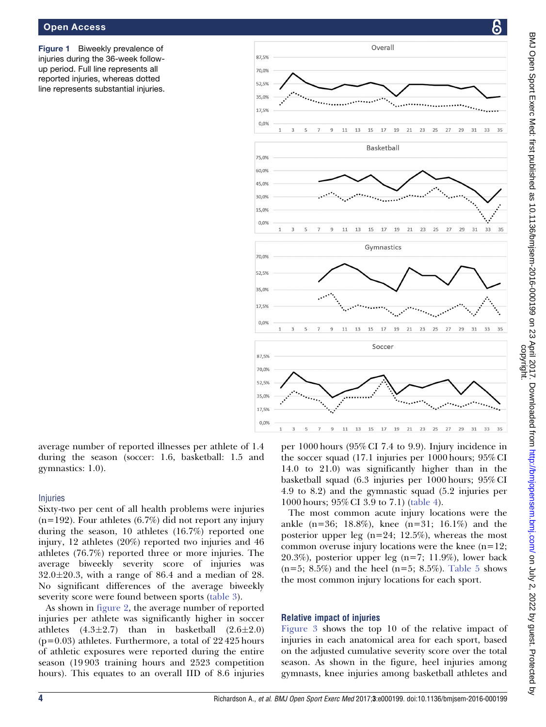#### <span id="page-3-0"></span>Open Access

Figure 1 Biweekly prevalence of injuries during the 36-week followup period. Full line represents all reported injuries, whereas dotted line represents substantial injuries.



average number of reported illnesses per athlete of 1.4 during the season (soccer: 1.6, basketball: 1.5 and gymnastics: 1.0).

#### Injuries

Sixty-two per cent of all health problems were injuries  $(n=192)$ . Four athletes  $(6.7%)$  did not report any injury during the season, 10 athletes (16.7%) reported one injury, 12 athletes (20%) reported two injuries and 46 athletes (76.7%) reported three or more injuries. The average biweekly severity score of injuries was  $32.0 \pm 20.3$ , with a range of 86.4 and a median of 28. No significant differences of the average biweekly severity score were found between sports ([table 3\)](#page-4-0).

As shown in [figure 2](#page-4-0), the average number of reported injuries per athlete was significantly higher in soccer athletes  $(4.3\pm2.7)$  than in basketball  $(2.6\pm2.0)$  $(p=0.03)$  athletes. Furthermore, a total of 22425 hours of athletic exposures were reported during the entire season (19 903 training hours and 2523 competition hours). This equates to an overall IID of 8.6 injuries

per 1000 hours (95% CI 7.4 to 9.9). Injury incidence in the soccer squad (17.1 injuries per 1000 hours; 95% CI 14.0 to 21.0) was significantly higher than in the basketball squad (6.3 injuries per 1000 hours; 95% CI 4.9 to 8.2) and the gymnastic squad (5.2 injuries per 1000 hours; 95% CI 3.9 to 7.1) [\(table 4](#page-4-0)).

The most common acute injury locations were the ankle (n=36; 18.8%), knee (n=31; 16.1%) and the posterior upper leg (n=24; 12.5%), whereas the most common overuse injury locations were the knee  $(n=12)$ ; 20.3%), posterior upper leg  $(n=7; 11.9\%)$ , lower back  $(n=5; 8.5\%)$  and the heel  $(n=5; 8.5\%).$  [Table 5](#page-5-0) shows the most common injury locations for each sport.

#### Relative impact of injuries

[Figure 3](#page-5-0) shows the top 10 of the relative impact of injuries in each anatomical area for each sport, based on the adjusted cumulative severity score over the total season. As shown in the figure, heel injuries among gymnasts, knee injuries among basketball athletes and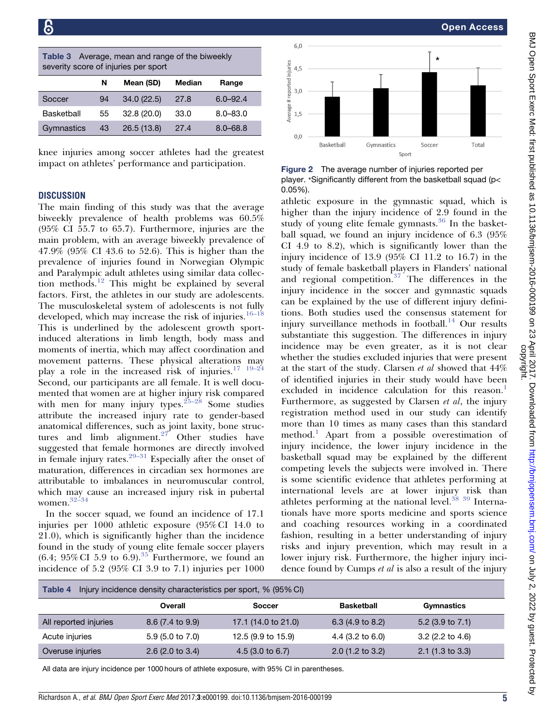| Open Access                                                    |
|----------------------------------------------------------------|
|                                                                |
| $\star$                                                        |
|                                                                |
|                                                                |
|                                                                |
|                                                                |
|                                                                |
|                                                                |
| er<br>Total                                                    |
|                                                                |
| reported per                                                   |
| sketball squad (p<                                             |
|                                                                |
| squad, which is<br>2.9 found in the<br>$s^{36}$ In the basket- |
|                                                                |
| lence of 6.3 (95%                                              |
| ly lower than the                                              |
| .2 to 16.7) in the                                             |
| Flanders' national                                             |
| lifferences in the                                             |
| gymnastic squads                                               |
| rent injury defini-                                            |
| sus statement for<br>pall. <sup>14</sup> Our results           |
| ferences in injury                                             |
| s it is not clear                                              |
| that were present                                              |
| showed that $44\%$                                             |

<span id="page-4-0"></span>

| <b>Table 3</b> Average, mean and range of the biweekly |  |
|--------------------------------------------------------|--|
| severity score of injuries per sport                   |  |

|            | N   | Mean (SD)  | <b>Median</b> | Range        |
|------------|-----|------------|---------------|--------------|
| Soccer     | 94  | 34.0(22.5) | 27.8          | $6.0 - 92.4$ |
| Basketball | 55  | 32.8(20.0) | 33.0          | $8.0 - 83.0$ |
| Gymnastics | -43 | 26.5(13.8) | 27.4          | $8.0 - 68.8$ |

knee injuries among soccer athletes had the greatest impact on athletes' performance and participation.

## **DISCUSSION**

The main finding of this study was that the average biweekly prevalence of health problems was 60.5% (95% CI 55.7 to 65.7). Furthermore, injuries are the main problem, with an average biweekly prevalence of 47.9% (95% CI 43.6 to 52.6). This is higher than the prevalence of injuries found in Norwegian Olympic and Paralympic adult athletes using similar data collection methods.[12](#page-7-0) This might be explained by several factors. First, the athletes in our study are adolescents. The musculoskeletal system of adolescents is not fully developed, which may increase the risk of injuries. $16-18$ This is underlined by the adolescent growth sportinduced alterations in limb length, body mass and moments of inertia, which may affect coordination and movement patterns. These physical alterations may play a role in the increased risk of injuries.<sup>17</sup> <sup>19-24</sup> Second, our participants are all female. It is well documented that women are at higher injury risk compared with men for many injury types.<sup>25-28</sup> Some studies attribute the increased injury rate to gender-based anatomical differences, such as joint laxity, bone structures and limb alignment. $27$  Other studies have suggested that female hormones are directly involved in female injury rates.<sup>[29–31](#page-7-0)</sup> Especially after the onset of maturation, differences in circadian sex hormones are attributable to imbalances in neuromuscular control, which may cause an increased injury risk in pubertal women.[32–34](#page-7-0)

In the soccer squad, we found an incidence of 17.1 injuries per 1000 athletic exposure (95% CI 14.0 to 21.0), which is significantly higher than the incidence found in the study of young elite female soccer players  $(6.4; 95\% \text{ CI } 5.9 \text{ to } 6.9).$ <sup>[35](#page-7-0)</sup> Furthermore, we found an incidence of 5.2 (95% CI 3.9 to 7.1) injuries per 1000



Figure 2 The average number of injuries player. \*Significantly different from the bas 0.05%).

athletic exposure in the gymnastic higher than the injury incidence of study of young elite female gymnasts. ball squad, we found an injury incident CI 4.9 to 8.2), which is significantly injury incidence of  $13.9$  ( $95\%$  CI 11. study of female basketball players in and regional competition. $37$  The d injury incidence in the soccer and can be explained by the use of different tions. Both studies used the consens injury surveillance methods in footb substantiate this suggestion. The difincidence may be even greater, as whether the studies excluded injuries at the start of the study. Clarsen et al showed that 44% of identified injuries in their study would have been excluded in incidence calculation for this reason.<sup>[1](#page-6-0)</sup> Furthermore, as suggested by Clarsen et al, the injury registration method used in our study can identify more than 10 times as many cases than this standard method.<sup>[1](#page-6-0)</sup> Apart from a possible overestimation of injury incidence, the lower injury incidence in the basketball squad may be explained by the different competing levels the subjects were involved in. There is some scientific evidence that athletes performing at international levels are at lower injury risk than athletes performing at the national level.<sup>38</sup> <sup>39</sup> Internationals have more sports medicine and sports science and coaching resources working in a coordinated fashion, resulting in a better understanding of injury risks and injury prevention, which may result in a lower injury risk. Furthermore, the higher injury incidence found by Cumps et al is also a result of the injury

| Table 4<br>Injury incidence density characteristics per sport, % (95% CI) |                            |                     |                             |                             |
|---------------------------------------------------------------------------|----------------------------|---------------------|-----------------------------|-----------------------------|
|                                                                           | Overall                    | <b>Soccer</b>       | <b>Basketball</b>           | Gymnastics                  |
| All reported injuries                                                     | $8.6(7.4 \text{ to } 9.9)$ | 17.1 (14.0 to 21.0) | $6.3(4.9 \text{ to } 8.2)$  | 5.2 $(3.9 \text{ to } 7.1)$ |
| Acute injuries                                                            | $5.9(5.0 \text{ to } 7.0)$ | 12.5 (9.9 to 15.9)  | 4.4 $(3.2 \text{ to } 6.0)$ | $3.2$ (2.2 to 4.6)          |
| Overuse injuries                                                          | $2.6$ (2.0 to 3.4)         | $4.5(3.0)$ to 6.7)  | $2.0$ (1.2 to 3.2)          | $2.1$ (1.3 to 3.3)          |

All data are injury incidence per 1000 hours of athlete exposure, with 95% CI in parentheses.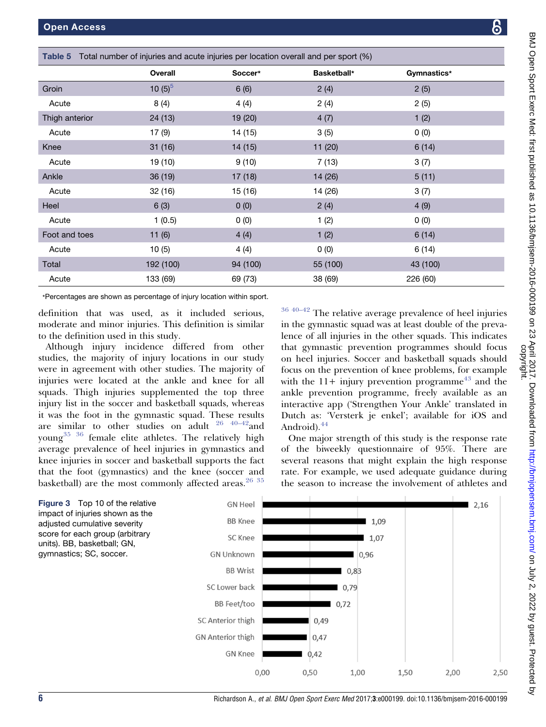<span id="page-5-0"></span>

| Table 5 Total number of injuries and acute injuries per location overall and per sport (%) |            |          |                    |             |  |
|--------------------------------------------------------------------------------------------|------------|----------|--------------------|-------------|--|
|                                                                                            | Overall    | Soccer*  | <b>Basketball*</b> | Gymnastics* |  |
| Groin                                                                                      | 10 $(5)^5$ | 6(6)     | 2(4)               | 2(5)        |  |
| Acute                                                                                      | 8(4)       | 4(4)     | 2(4)               | 2(5)        |  |
| Thigh anterior                                                                             | 24(13)     | 19 (20)  | 4(7)               | 1(2)        |  |
| Acute                                                                                      | 17 (9)     | 14 (15)  | 3(5)               | 0(0)        |  |
| Knee                                                                                       | 31(16)     | 14(15)   | 11(20)             | 6(14)       |  |
| Acute                                                                                      | 19 (10)    | 9(10)    | 7(13)              | 3(7)        |  |
| Ankle                                                                                      | 36 (19)    | 17(18)   | 14 (26)            | 5(11)       |  |
| Acute                                                                                      | 32 (16)    | 15 (16)  | 14 (26)            | 3(7)        |  |
| Heel                                                                                       | 6(3)       | 0(0)     | 2(4)               | 4(9)        |  |
| Acute                                                                                      | 1(0.5)     | 0(0)     | 1(2)               | 0(0)        |  |
| Foot and toes                                                                              | 11(6)      | 4(4)     | 1(2)               | 6(14)       |  |
| Acute                                                                                      | 10(5)      | 4(4)     | 0(0)               | 6(14)       |  |
| Total                                                                                      | 192 (100)  | 94 (100) | 55 (100)           | 43 (100)    |  |
| Acute                                                                                      | 133 (69)   | 69 (73)  | 38 (69)            | 226 (60)    |  |

\*Percentages are shown as percentage of injury location within sport.

definition that was used, as it included serious, moderate and minor injuries. This definition is similar to the definition used in this study.

Although injury incidence differed from other studies, the majority of injury locations in our study were in agreement with other studies. The majority of injuries were located at the ankle and knee for all squads. Thigh injuries supplemented the top three injury list in the soccer and basketball squads, whereas it was the foot in the gymnastic squad. These results are similar to other studies on adult  $26 \frac{40-42}{2}$  and young<sup>[35 36](#page-7-0)</sup> female elite athletes. The relatively high average prevalence of heel injuries in gymnastics and knee injuries in soccer and basketball supports the fact that the foot (gymnastics) and the knee (soccer and basketball) are the most commonly affected areas. $2635$ 

 $3640-42$  The relative average prevalence of heel injuries in the gymnastic squad was at least double of the prevalence of all injuries in the other squads. This indicates that gymnastic prevention programmes should focus on heel injuries. Soccer and basketball squads should focus on the prevention of knee problems, for example with the  $11+$  injury prevention programme<sup>[43](#page-7-0)</sup> and the ankle prevention programme, freely available as an interactive app ('Strengthen Your Ankle' translated in Dutch as: 'Versterk je enkel'; available for iOS and Android).<sup>[44](#page-7-0)</sup>

One major strength of this study is the response rate of the biweekly questionnaire of 95%. There are several reasons that might explain the high response rate. For example, we used adequate guidance during the season to increase the involvement of athletes and

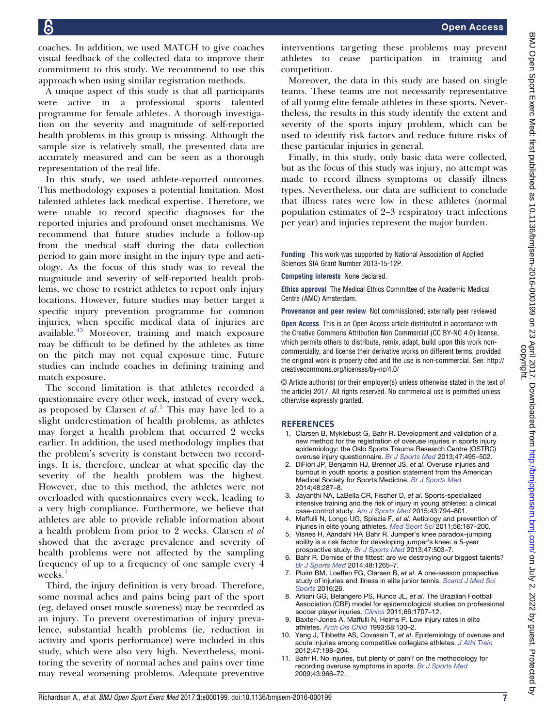<span id="page-6-0"></span>18

coaches. In addition, we used MATCH to give coaches visual feedback of the collected data to improve their commitment to this study. We recommend to use this approach when using similar registration methods.

A unique aspect of this study is that all participants were active in a professional sports talented programme for female athletes. A thorough investigation on the severity and magnitude of self-reported health problems in this group is missing. Although the sample size is relatively small, the presented data are accurately measured and can be seen as a thorough representation of the real life.

In this study, we used athlete-reported outcomes. This methodology exposes a potential limitation. Most talented athletes lack medical expertise. Therefore, we were unable to record specific diagnoses for the reported injuries and profound onset mechanisms. We recommend that future studies include a follow-up from the medical staff during the data collection period to gain more insight in the injury type and aetiology. As the focus of this study was to reveal the magnitude and severity of self-reported health problems, we chose to restrict athletes to report only injury locations. However, future studies may better target a specific injury prevention programme for common injuries, when specific medical data of injuries are available.<sup>[45](#page-7-0)</sup> Moreover, training and match exposure may be difficult to be defined by the athletes as time on the pitch may not equal exposure time. Future studies can include coaches in defining training and match exposure.

The second limitation is that athletes recorded a questionnaire every other week, instead of every week, as proposed by Clarsen  $et$   $al.$ <sup>1</sup> This may have led to a slight underestimation of health problems, as athletes may forget a health problem that occurred 2 weeks earlier. In addition, the used methodology implies that the problem's severity is constant between two recordings. It is, therefore, unclear at what specific day the severity of the health problem was the highest. However, due to this method, the athletes were not overloaded with questionnaires every week, leading to a very high compliance. Furthermore, we believe that athletes are able to provide reliable information about a health problem from prior to 2 weeks. Clarsen et al showed that the average prevalence and severity of health problems were not affected by the sampling frequency of up to a frequency of one sample every 4 weeks.<sup>1</sup>

Third, the injury definition is very broad. Therefore, some normal aches and pains being part of the sport (eg, delayed onset muscle soreness) may be recorded as an injury. To prevent overestimation of injury prevalence, substantial health problems (ie, reduction in activity and sports performance) were included in this study, which were also very high. Nevertheless, monitoring the severity of normal aches and pains over time may reveal worsening problems. Adequate preventive

interventions targeting these problems may prevent athletes to cease participation in training and competition.

Moreover, the data in this study are based on single teams. These teams are not necessarily representative of all young elite female athletes in these sports. Nevertheless, the results in this study identify the extent and severity of the sports injury problem, which can be used to identify risk factors and reduce future risks of these particular injuries in general.

Finally, in this study, only basic data were collected, but as the focus of this study was injury, no attempt was made to record illness symptoms or classify illness types. Nevertheless, our data are sufficient to conclude that illness rates were low in these athletes (normal population estimates of 2–3 respiratory tract infections per year) and injuries represent the major burden.

Funding This work was supported by National Association of Applied Sciences SIA Grant Number 2013-15-12P.

Competing interests None declared.

Ethics approval The Medical Ethics Committee of the Academic Medical Centre (AMC) Amsterdam.

Provenance and peer review Not commissioned; externally peer reviewed

Open Access This is an Open Access article distributed in accordance with the Creative Commons Attribution Non Commercial (CC BY-NC 4.0) license, which permits others to distribute, remix, adapt, build upon this work noncommercially, and license their derivative works on different terms, provided the original work is properly cited and the use is non-commercial. See: http:// creativecommons.org/licenses/by-nc/4.0/

© Article author(s) (or their employer(s) unless otherwise stated in the text of the article) 2017. All rights reserved. No commercial use is permitted unless otherwise expressly granted.

#### **REFERENCES**

- 1. Clarsen B, Myklebust G, Bahr R. Development and validation of a new method for the registration of overuse injuries in sports injury epidemiology: the Oslo Sports Trauma Research Centre (OSTRC) overuse injury questionnaire. [Br J Sports Med](http://dx.doi.org/10.1136/bjsports-2012-091524) 2013;47:495–502.
- 2. DiFiori JP, Benjamin HJ, Brenner JS, et al. Overuse injuries and burnout in youth sports: a position statement from the American Medical Society for Sports Medicine. [Br J Sports Med](http://dx.doi.org/10.1136/bjsports-2013-093299) 2014;48:287–8.
- 3. Jayanthi NA, LaBella CR, Fischer D, et al. Sports-specialized intensive training and the risk of injury in young athletes: a clinical case-control study. [Am J Sports Med](http://dx.doi.org/10.1177/0363546514567298) 2015;43:794–801.
- 4. Maffulli N, Longo UG, Spiezia F, et al. Aetiology and prevention of injuries in elite young athletes. [Med Sport Sci](http://dx.doi.org/10.1159/000321078) 2011;56:187-200.
- 5. Visnes H, Aandahl HA Bahr R. Jumper's knee paradox-jumping ability is a risk factor for developing jumper's knee: a 5-year prospective study. [Br J Sports Med](http://dx.doi.org/10.1136/bjsports-2012-091385) 2013;47:503–7.
- 6. Bahr R. Demise of the fittest: are we destroying our biggest talents? [Br J Sports Med](http://dx.doi.org/10.1136/bjsports-2014-093832) 2014;48:1265–7.
- 7. Pluim BM, Loeffen FG, Clarsen B, et al. A one-season prospective study of injuries and illness in elite junior tennis. [Scand J Med Sci](http://dx.doi.org/10.1111/sms.12471) [Sports](http://dx.doi.org/10.1111/sms.12471) 2016;26.
- 8. Arliani GG, Belangero PS, Runco JL, et al. The Brazilian Football Association (CBF) model for epidemiological studies on professional soccer player injuries. [Clinics](http://dx.doi.org/10.1590/S1807-59322011001000007) 2011;66:1707–12.
- 9. Baxter-Jones A, Maffulli N, Helms P. Low injury rates in elite athletes. [Arch Dis Child](http://dx.doi.org/10.1136/adc.68.1.130) 1993;68:130–2.
- 10. Yang J, Tibbetts AS, Covassin T, et al. Epidemiology of overuse and acute injuries among competitive collegiate athletes. [J Athl Train](http://dx.doi.org/10.4085/1062-6050-47.2.198) 2012;47:198–204.
- 11. Bahr R. No injuries, but plenty of pain? on the methodology for recording overuse symptoms in sports. [Br J Sports Med](http://dx.doi.org/10.1136/bjsm.2009.066936) 2009;43:966–72.